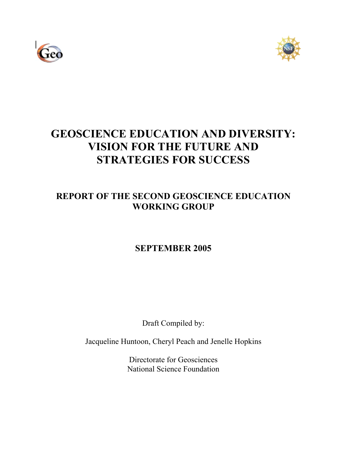



# **GEOSCIENCE EDUCATION AND DIVERSITY: VISION FOR THE FUTURE AND STRATEGIES FOR SUCCESS**

## **REPORT OF THE SECOND GEOSCIENCE EDUCATION WORKING GROUP**

## **SEPTEMBER 2005**

Draft Compiled by:

Jacqueline Huntoon, Cheryl Peach and Jenelle Hopkins

Directorate for Geosciences National Science Foundation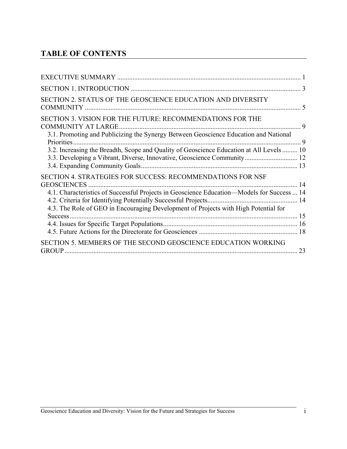## **TABLE OF CONTENTS**

| SECTION 2. STATUS OF THE GEOSCIENCE EDUCATION AND DIVERSITY                                                                                                                                                                                                           |    |
|-----------------------------------------------------------------------------------------------------------------------------------------------------------------------------------------------------------------------------------------------------------------------|----|
| SECTION 3. VISION FOR THE FUTURE: RECOMMENDATIONS FOR THE<br><b>COMMUNITY AT LARGE</b><br>3.1. Promoting and Publicizing the Synergy Between Geoscience Education and National<br>Priorities                                                                          | 9  |
| 3.2. Increasing the Breadth, Scope and Quality of Geoscience Education at All Levels 10<br>3.3. Developing a Vibrant, Diverse, Innovative, Geoscience Community 12                                                                                                    |    |
| SECTION 4. STRATEGIES FOR SUCCESS: RECOMMENDATIONS FOR NSF<br><b>GEOSCIENCES</b><br>4.1. Characteristics of Successful Projects in Geoscience Education—Models for Success  14<br>4.3. The Role of GEO in Encouraging Development of Projects with High Potential for | 14 |
| Success.                                                                                                                                                                                                                                                              |    |
| SECTION 5. MEMBERS OF THE SECOND GEOSCIENCE EDUCATION WORKING<br><b>GROUP</b>                                                                                                                                                                                         | 23 |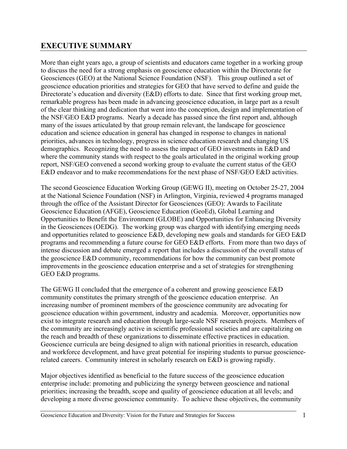## **EXECUTIVE SUMMARY**

More than eight years ago, a group of scientists and educators came together in a working group to discuss the need for a strong emphasis on geoscience education within the Directorate for Geosciences (GEO) at the National Science Foundation (NSF). This group outlined a set of geoscience education priorities and strategies for GEO that have served to define and guide the Directorate's education and diversity (E&D) efforts to date. Since that first working group met, remarkable progress has been made in advancing geoscience education, in large part as a result of the clear thinking and dedication that went into the conception, design and implementation of the NSF/GEO E&D programs. Nearly a decade has passed since the first report and, although many of the issues articulated by that group remain relevant, the landscape for geoscience education and science education in general has changed in response to changes in national priorities, advances in technology, progress in science education research and changing US demographics. Recognizing the need to assess the impact of GEO investments in E&D and where the community stands with respect to the goals articulated in the original working group report, NSF/GEO convened a second working group to evaluate the current status of the GEO E&D endeavor and to make recommendations for the next phase of NSF/GEO E&D activities.

The second Geoscience Education Working Group (GEWG II), meeting on October 25-27, 2004 at the National Science Foundation (NSF) in Arlington, Virginia, reviewed 4 programs managed through the office of the Assistant Director for Geosciences (GEO): Awards to Facilitate Geoscience Education (AFGE), Geoscience Education (GeoEd), Global Learning and Opportunities to Benefit the Environment (GLOBE) and Opportunities for Enhancing Diversity in the Geosciences (OEDG). The working group was charged with identifying emerging needs and opportunities related to geoscience E&D, developing new goals and standards for GEO E&D programs and recommending a future course for GEO E&D efforts. From more than two days of intense discussion and debate emerged a report that includes a discussion of the overall status of the geoscience E&D community, recommendations for how the community can best promote improvements in the geoscience education enterprise and a set of strategies for strengthening GEO E&D programs.

The GEWG II concluded that the emergence of a coherent and growing geoscience E&D community constitutes the primary strength of the geoscience education enterprise. An increasing number of prominent members of the geoscience community are advocating for geoscience education within government, industry and academia. Moreover, opportunities now exist to integrate research and education through large-scale NSF research projects. Members of the community are increasingly active in scientific professional societies and are capitalizing on the reach and breadth of these organizations to disseminate effective practices in education. Geoscience curricula are being designed to align with national priorities in research, education and workforce development, and have great potential for inspiring students to pursue geosciencerelated careers. Community interest in scholarly research on E&D is growing rapidly.

Major objectives identified as beneficial to the future success of the geoscience education enterprise include: promoting and publicizing the synergy between geoscience and national priorities; increasing the breadth, scope and quality of geoscience education at all levels; and developing a more diverse geoscience community. To achieve these objectives, the community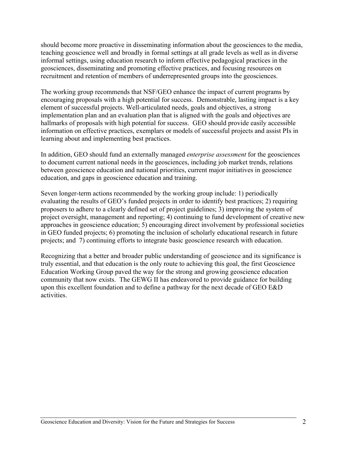should become more proactive in disseminating information about the geosciences to the media, teaching geoscience well and broadly in formal settings at all grade levels as well as in diverse informal settings, using education research to inform effective pedagogical practices in the geosciences, disseminating and promoting effective practices, and focusing resources on recruitment and retention of members of underrepresented groups into the geosciences.

The working group recommends that NSF/GEO enhance the impact of current programs by encouraging proposals with a high potential for success. Demonstrable, lasting impact is a key element of successful projects. Well-articulated needs, goals and objectives, a strong implementation plan and an evaluation plan that is aligned with the goals and objectives are hallmarks of proposals with high potential for success. GEO should provide easily accessible information on effective practices, exemplars or models of successful projects and assist PIs in learning about and implementing best practices.

In addition, GEO should fund an externally managed *enterprise assessment* for the geosciences to document current national needs in the geosciences, including job market trends, relations between geoscience education and national priorities, current major initiatives in geoscience education, and gaps in geoscience education and training.

Seven longer-term actions recommended by the working group include: 1) periodically evaluating the results of GEO's funded projects in order to identify best practices; 2) requiring proposers to adhere to a clearly defined set of project guidelines; 3) improving the system of project oversight, management and reporting; 4) continuing to fund development of creative new approaches in geoscience education; 5) encouraging direct involvement by professional societies in GEO funded projects; 6) promoting the inclusion of scholarly educational research in future projects; and 7) continuing efforts to integrate basic geoscience research with education.

Recognizing that a better and broader public understanding of geoscience and its significance is truly essential, and that education is the only route to achieving this goal, the first Geoscience Education Working Group paved the way for the strong and growing geoscience education community that now exists. The GEWG II has endeavored to provide guidance for building upon this excellent foundation and to define a pathway for the next decade of GEO E&D activities.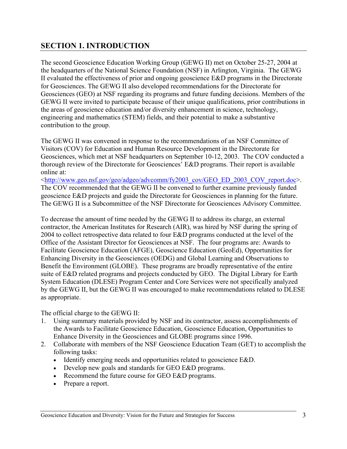## **SECTION 1. INTRODUCTION**

The second Geoscience Education Working Group (GEWG II) met on October 25-27, 2004 at the headquarters of the National Science Foundation (NSF) in Arlington, Virginia. The GEWG II evaluated the effectiveness of prior and ongoing geoscience E&D programs in the Directorate for Geosciences. The GEWG II also developed recommendations for the Directorate for Geosciences (GEO) at NSF regarding its programs and future funding decisions. Members of the GEWG II were invited to participate because of their unique qualifications, prior contributions in the areas of geoscience education and/or diversity enhancement in science, technology, engineering and mathematics (STEM) fields, and their potential to make a substantive contribution to the group.

The GEWG II was convened in response to the recommendations of an NSF Committee of Visitors (COV) for Education and Human Resource Development in the Directorate for Geosciences, which met at NSF headquarters on September 10-12, 2003. The COV conducted a thorough review of the Directorate for Geosciences' E&D programs. Their report is available online at:

<http://www.geo.nsf.gov/geo/adgeo/advcomm/fy2003\_cov/GEO\_ED\_2003\_COV\_report.doc>. The COV recommended that the GEWG II be convened to further examine previously funded geoscience E&D projects and guide the Directorate for Geosciences in planning for the future. The GEWG II is a Subcommittee of the NSF Directorate for Geosciences Advisory Committee.

To decrease the amount of time needed by the GEWG II to address its charge, an external contractor, the American Institutes for Research (AIR), was hired by NSF during the spring of 2004 to collect retrospective data related to four E&D programs conducted at the level of the Office of the Assistant Director for Geosciences at NSF. The four programs are: Awards to Facilitate Geoscience Education (AFGE), Geoscience Education (GeoEd), Opportunities for Enhancing Diversity in the Geosciences (OEDG) and Global Learning and Observations to Benefit the Environment (GLOBE). These programs are broadly representative of the entire suite of E&D related programs and projects conducted by GEO. The Digital Library for Earth System Education (DLESE) Program Center and Core Services were not specifically analyzed by the GEWG II, but the GEWG II was encouraged to make recommendations related to DLESE as appropriate.

The official charge to the GEWG II:

- 1. Using summary materials provided by NSF and its contractor, assess accomplishments of the Awards to Facilitate Geoscience Education, Geoscience Education, Opportunities to Enhance Diversity in the Geosciences and GLOBE programs since 1996.
- 2. Collaborate with members of the NSF Geoscience Education Team (GET) to accomplish the following tasks:
	- Identify emerging needs and opportunities related to geoscience E&D.
	- Develop new goals and standards for GEO E&D programs.
	- Recommend the future course for GEO E&D programs.
	- Prepare a report.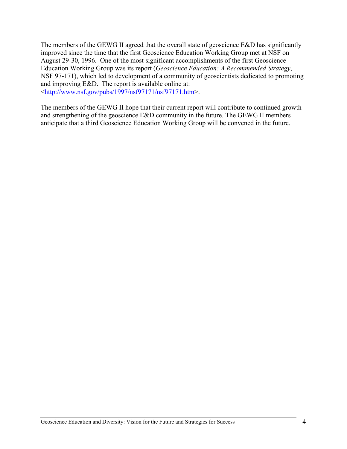The members of the GEWG II agreed that the overall state of geoscience E&D has significantly improved since the time that the first Geoscience Education Working Group met at NSF on August 29-30, 1996. One of the most significant accomplishments of the first Geoscience Education Working Group was its report (*Geoscience Education: A Recommended Strategy*, NSF 97-171), which led to development of a community of geoscientists dedicated to promoting and improving E&D. The report is available online at: <http://www.nsf.gov/pubs/1997/nsf97171/nsf97171.htm>.

The members of the GEWG II hope that their current report will contribute to continued growth and strengthening of the geoscience E&D community in the future. The GEWG II members anticipate that a third Geoscience Education Working Group will be convened in the future.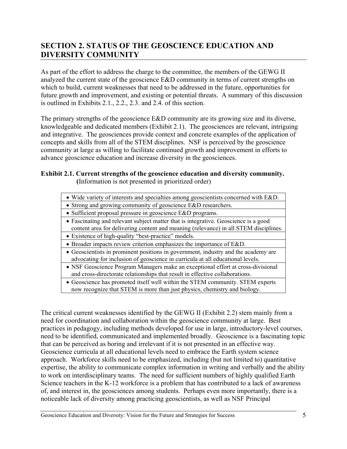## **SECTION 2. STATUS OF THE GEOSCIENCE EDUCATION AND DIVERSITY COMMUNITY**

As part of the effort to address the charge to the committee, the members of the GEWG II analyzed the current state of the geoscience E&D community in terms of current strengths on which to build, current weaknesses that need to be addressed in the future, opportunities for future growth and improvement, and existing or potential threats. A summary of this discussion is outlined in Exhibits 2.1., 2.2., 2.3. and 2.4. of this section.

The primary strengths of the geoscience E&D community are its growing size and its diverse, knowledgeable and dedicated members (Exhibit 2.1). The geosciences are relevant, intriguing and integrative. The geosciences provide context and concrete examples of the application of concepts and skills from all of the STEM disciplines. NSF is perceived by the geoscience community at large as willing to facilitate continued growth and improvement in efforts to advance geoscience education and increase diversity in the geosciences.

#### **Exhibit 2.1. Current strengths of the geoscience education and diversity community. (**Information is not presented in prioritized order)

• Strong and growing community of geoscience E&D researchers.

- Sufficient proposal pressure in geoscience E&D programs.
- Fascinating and relevant subject matter that is integrative. Geoscience is a good content area for delivering content and meaning (relevance) in all STEM disciplines.
- Existence of high-quality "best-practice" models.
- Broader impacts review criterion emphasizes the importance of E&D.
- Geoscientists in prominent positions in government, industry and the academy are advocating for inclusion of geoscience in curricula at all educational levels.
- NSF Geoscience Program Managers make an exceptional effort at cross-divisional and cross-directorate relationships that result in effective collaborations.
- Geoscience has promoted itself well within the STEM community. STEM experts now recognize that STEM is more than just physics, chemistry and biology.

The critical current weaknesses identified by the GEWG II (Exhibit 2.2) stem mainly from a need for coordination and collaboration within the geoscience community at large. Best practices in pedagogy, including methods developed for use in large, introductory-level courses, need to be identified, communicated and implemented broadly. Geoscience is a fascinating topic that can be perceived as boring and irrelevant if it is not presented in an effective way. Geoscience curricula at all educational levels need to embrace the Earth system science approach. Workforce skills need to be emphasized, including (but not limited to) quantitative expertise, the ability to communicate complex information in writing and verbally and the ability to work on interdisciplinary teams. The need for sufficient numbers of highly qualified Earth Science teachers in the K-12 workforce is a problem that has contributed to a lack of awareness of, and interest in, the geosciences among students. Perhaps even more importantly, there is a noticeable lack of diversity among practicing geoscientists, as well as NSF Principal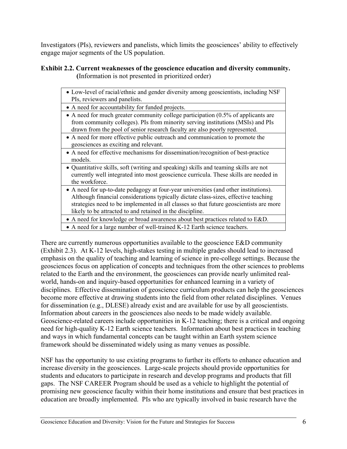Investigators (PIs), reviewers and panelists, which limits the geosciences' ability to effectively engage major segments of the US population.

#### **Exhibit 2.2. Current weaknesses of the geoscience education and diversity community. (**Information is not presented in prioritized order)

| • Low-level of racial/ethnic and gender diversity among geoscientists, including NSF<br>PIs, reviewers and panelists.                                                                                                                                                                                                              |
|------------------------------------------------------------------------------------------------------------------------------------------------------------------------------------------------------------------------------------------------------------------------------------------------------------------------------------|
| • A need for accountability for funded projects.                                                                                                                                                                                                                                                                                   |
| • A need for much greater community college participation $(0.5\%$ of applicants are<br>from community colleges). PIs from minority serving institutions (MSIs) and PIs<br>drawn from the pool of senior research faculty are also poorly represented.                                                                             |
| • A need for more effective public outreach and communication to promote the<br>geosciences as exciting and relevant.                                                                                                                                                                                                              |
| • A need for effective mechanisms for dissemination/recognition of best-practice<br>models.                                                                                                                                                                                                                                        |
| • Quantitative skills, soft (writing and speaking) skills and teaming skills are not<br>currently well integrated into most geoscience curricula. These skills are needed in<br>the workforce.                                                                                                                                     |
| • A need for up-to-date pedagogy at four-year universities (and other institutions).<br>Although financial considerations typically dictate class-sizes, effective teaching<br>strategies need to be implemented in all classes so that future geoscientists are more<br>likely to be attracted to and retained in the discipline. |
| • A need for knowledge or broad awareness about best practices related to E&D.                                                                                                                                                                                                                                                     |

• A need for a large number of well-trained K-12 Earth science teachers.

There are currently numerous opportunities available to the geoscience E&D community (Exhibit 2.3). At K-12 levels, high-stakes testing in multiple grades should lead to increased emphasis on the quality of teaching and learning of science in pre-college settings. Because the geosciences focus on application of concepts and techniques from the other sciences to problems related to the Earth and the environment, the geosciences can provide nearly unlimited realworld, hands-on and inquiry-based opportunities for enhanced learning in a variety of disciplines. Effective dissemination of geoscience curriculum products can help the geosciences become more effective at drawing students into the field from other related disciplines. Venues for dissemination (e.g., DLESE) already exist and are available for use by all geoscientists. Information about careers in the geosciences also needs to be made widely available. Geoscience-related careers include opportunities in K-12 teaching; there is a critical and ongoing need for high-quality K-12 Earth science teachers. Information about best practices in teaching and ways in which fundamental concepts can be taught within an Earth system science framework should be disseminated widely using as many venues as possible.

NSF has the opportunity to use existing programs to further its efforts to enhance education and increase diversity in the geosciences. Large-scale projects should provide opportunities for students and educators to participate in research and develop programs and products that fill gaps. The NSF CAREER Program should be used as a vehicle to highlight the potential of promising new geoscience faculty within their home institutions and ensure that best practices in education are broadly implemented. PIs who are typically involved in basic research have the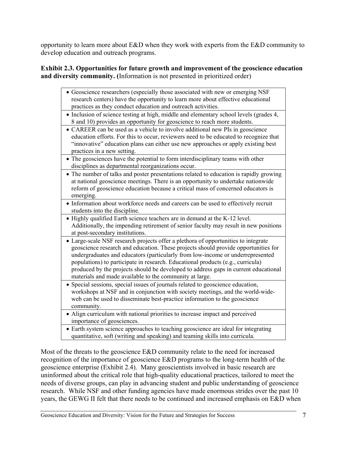opportunity to learn more about E&D when they work with experts from the E&D community to develop education and outreach programs.

#### **Exhibit 2.3. Opportunities for future growth and improvement of the geoscience education and diversity community. (**Information is not presented in prioritized order)

| • Geoscience researchers (especially those associated with new or emerging NSF<br>research centers) have the opportunity to learn more about effective educational<br>practices as they conduct education and outreach activities.                                                                                                                                                                                                                                                              |
|-------------------------------------------------------------------------------------------------------------------------------------------------------------------------------------------------------------------------------------------------------------------------------------------------------------------------------------------------------------------------------------------------------------------------------------------------------------------------------------------------|
| • Inclusion of science testing at high, middle and elementary school levels (grades 4,<br>8 and 10) provides an opportunity for geoscience to reach more students.                                                                                                                                                                                                                                                                                                                              |
| • CAREER can be used as a vehicle to involve additional new PIs in geoscience<br>education efforts. For this to occur, reviewers need to be educated to recognize that<br>"innovative" education plans can either use new approaches or apply existing best<br>practices in a new setting.                                                                                                                                                                                                      |
| • The geosciences have the potential to form interdisciplinary teams with other<br>disciplines as departmental reorganizations occur.                                                                                                                                                                                                                                                                                                                                                           |
| • The number of talks and poster presentations related to education is rapidly growing<br>at national geoscience meetings. There is an opportunity to undertake nationwide<br>reform of geoscience education because a critical mass of concerned educators is<br>emerging.                                                                                                                                                                                                                     |
| • Information about workforce needs and careers can be used to effectively recruit<br>students into the discipline.                                                                                                                                                                                                                                                                                                                                                                             |
| • Highly qualified Earth science teachers are in demand at the K-12 level.<br>Additionally, the impending retirement of senior faculty may result in new positions<br>at post-secondary institutions.                                                                                                                                                                                                                                                                                           |
| • Large-scale NSF research projects offer a plethora of opportunities to integrate<br>geoscience research and education. These projects should provide opportunities for<br>undergraduates and educators (particularly from low-income or underrepresented<br>populations) to participate in research. Educational products (e.g., curricula)<br>produced by the projects should be developed to address gaps in current educational<br>materials and made available to the community at large. |
| Special sessions, special issues of journals related to geoscience education,<br>$\bullet$<br>workshops at NSF and in conjunction with society meetings, and the world-wide-<br>web can be used to disseminate best-practice information to the geoscience<br>community.                                                                                                                                                                                                                        |
| • Align curriculum with national priorities to increase impact and perceived<br>importance of geosciences.                                                                                                                                                                                                                                                                                                                                                                                      |
| • Earth system science approaches to teaching geoscience are ideal for integrating<br>quantitative, soft (writing and speaking) and teaming skills into curricula.                                                                                                                                                                                                                                                                                                                              |

Most of the threats to the geoscience E&D community relate to the need for increased recognition of the importance of geoscience E&D programs to the long-term health of the geoscience enterprise (Exhibit 2.4). Many geoscientists involved in basic research are uninformed about the critical role that high-quality educational practices, tailored to meet the needs of diverse groups, can play in advancing student and public understanding of geoscience research. While NSF and other funding agencies have made enormous strides over the past 10 years, the GEWG II felt that there needs to be continued and increased emphasis on E&D when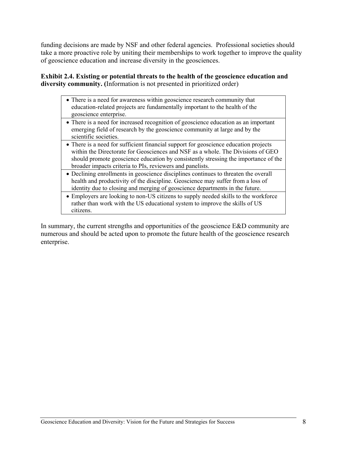funding decisions are made by NSF and other federal agencies. Professional societies should take a more proactive role by uniting their memberships to work together to improve the quality of geoscience education and increase diversity in the geosciences.

#### **Exhibit 2.4. Existing or potential threats to the health of the geoscience education and diversity community. (**Information is not presented in prioritized order)

- There is a need for awareness within geoscience research community that education-related projects are fundamentally important to the health of the geoscience enterprise.
- There is a need for increased recognition of geoscience education as an important emerging field of research by the geoscience community at large and by the scientific societies.
- There is a need for sufficient financial support for geoscience education projects within the Directorate for Geosciences and NSF as a whole. The Divisions of GEO should promote geoscience education by consistently stressing the importance of the broader impacts criteria to PIs, reviewers and panelists.
- Declining enrollments in geoscience disciplines continues to threaten the overall health and productivity of the discipline. Geoscience may suffer from a loss of identity due to closing and merging of geoscience departments in the future.
- Employers are looking to non-US citizens to supply needed skills to the workforce rather than work with the US educational system to improve the skills of US citizens.

In summary, the current strengths and opportunities of the geoscience E&D community are numerous and should be acted upon to promote the future health of the geoscience research enterprise.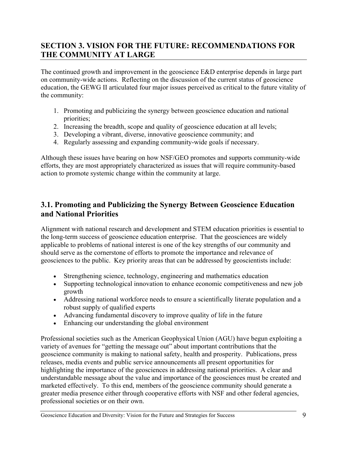## **SECTION 3. VISION FOR THE FUTURE: RECOMMENDATIONS FOR THE COMMUNITY AT LARGE**

The continued growth and improvement in the geoscience E&D enterprise depends in large part on community-wide actions. Reflecting on the discussion of the current status of geoscience education, the GEWG II articulated four major issues perceived as critical to the future vitality of the community:

- 1. Promoting and publicizing the synergy between geoscience education and national priorities;
- 2. Increasing the breadth, scope and quality of geoscience education at all levels;
- 3. Developing a vibrant, diverse, innovative geoscience community; and
- 4. Regularly assessing and expanding community-wide goals if necessary.

Although these issues have bearing on how NSF/GEO promotes and supports community-wide efforts, they are most appropriately characterized as issues that will require community-based action to promote systemic change within the community at large.

## **3.1. Promoting and Publicizing the Synergy Between Geoscience Education and National Priorities**

Alignment with national research and development and STEM education priorities is essential to the long-term success of geoscience education enterprise. That the geosciences are widely applicable to problems of national interest is one of the key strengths of our community and should serve as the cornerstone of efforts to promote the importance and relevance of geosciences to the public. Key priority areas that can be addressed by geoscientists include:

- Strengthening science, technology, engineering and mathematics education
- Supporting technological innovation to enhance economic competitiveness and new job growth
- Addressing national workforce needs to ensure a scientifically literate population and a robust supply of qualified experts
- Advancing fundamental discovery to improve quality of life in the future
- Enhancing our understanding the global environment

Professional societies such as the American Geophysical Union (AGU) have begun exploiting a variety of avenues for "getting the message out" about important contributions that the geoscience community is making to national safety, health and prosperity. Publications, press releases, media events and public service announcements all present opportunities for highlighting the importance of the geosciences in addressing national priorities. A clear and understandable message about the value and importance of the geosciences must be created and marketed effectively. To this end, members of the geoscience community should generate a greater media presence either through cooperative efforts with NSF and other federal agencies, professional societies or on their own.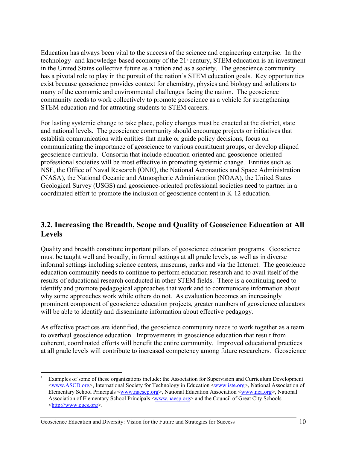Education has always been vital to the success of the science and engineering enterprise. In the technology- and knowledge-based economy of the 21<sup>st</sup> century, STEM education is an investment in the United States collective future as a nation and as a society. The geoscience community has a pivotal role to play in the pursuit of the nation's STEM education goals. Key opportunities exist because geoscience provides context for chemistry, physics and biology and solutions to many of the economic and environmental challenges facing the nation. The geoscience community needs to work collectively to promote geoscience as a vehicle for strengthening STEM education and for attracting students to STEM careers.

For lasting systemic change to take place, policy changes must be enacted at the district, state and national levels. The geoscience community should encourage projects or initiatives that establish communication with entities that make or guide policy decisions, focus on communicating the importance of geoscience to various constituent groups, or develop aligned geoscience curricula. Consortia that include education-oriented and geoscience-oriented<sup>1</sup> professional societies will be most effective in promoting systemic change. Entities such as NSF, the Office of Naval Research (ONR), the National Aeronautics and Space Administration (NASA), the National Oceanic and Atmospheric Administration (NOAA), the United States Geological Survey (USGS) and geoscience-oriented professional societies need to partner in a coordinated effort to promote the inclusion of geoscience content in K-12 education.

#### **3.2. Increasing the Breadth, Scope and Quality of Geoscience Education at All Levels**

Quality and breadth constitute important pillars of geoscience education programs. Geoscience must be taught well and broadly, in formal settings at all grade levels, as well as in diverse informal settings including science centers, museums, parks and via the Internet. The geoscience education community needs to continue to perform education research and to avail itself of the results of educational research conducted in other STEM fields. There is a continuing need to identify and promote pedagogical approaches that work and to communicate information about why some approaches work while others do not. As evaluation becomes an increasingly prominent component of geoscience education projects, greater numbers of geoscience educators will be able to identify and disseminate information about effective pedagogy.

As effective practices are identified, the geoscience community needs to work together as a team to overhaul geoscience education. Improvements in geoscience education that result from coherent, coordinated efforts will benefit the entire community. Improved educational practices at all grade levels will contribute to increased competency among future researchers. Geoscience

Geoscience Education and Diversity: Vision for the Future and Strategies for Success 10

 $\overline{a}$ 1 Examples of some of these organizations include: the Association for Supervision and Curriculum Development <www.ASCD.org>, International Society for Technology in Education <www.iste.org>, National Association of Elementary School Principals <www.naescp.org>, National Education Association <www.nea.org>, National Association of Elementary School Principals <www.naesp.org> and the Council of Great City Schools <http://www.cgcs.org>.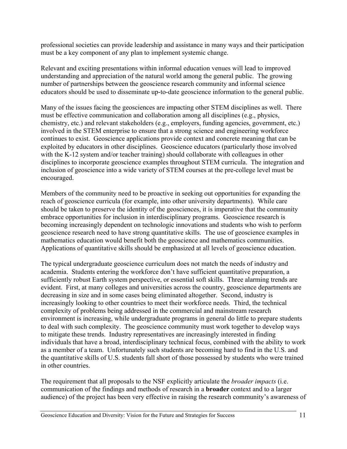professional societies can provide leadership and assistance in many ways and their participation must be a key component of any plan to implement systemic change.

Relevant and exciting presentations within informal education venues will lead to improved understanding and appreciation of the natural world among the general public. The growing number of partnerships between the geoscience research community and informal science educators should be used to disseminate up-to-date geoscience information to the general public.

Many of the issues facing the geosciences are impacting other STEM disciplines as well. There must be effective communication and collaboration among all disciplines (e.g., physics, chemistry, etc.) and relevant stakeholders (e.g., employers, funding agencies, government, etc.) involved in the STEM enterprise to ensure that a strong science and engineering workforce continues to exist. Geoscience applications provide context and concrete meaning that can be exploited by educators in other disciplines. Geoscience educators (particularly those involved with the K-12 system and/or teacher training) should collaborate with colleagues in other disciplines to incorporate geoscience examples throughout STEM curricula. The integration and inclusion of geoscience into a wide variety of STEM courses at the pre-college level must be encouraged.

Members of the community need to be proactive in seeking out opportunities for expanding the reach of geoscience curricula (for example, into other university departments). While care should be taken to preserve the identity of the geosciences, it is imperative that the community embrace opportunities for inclusion in interdisciplinary programs. Geoscience research is becoming increasingly dependent on technologic innovations and students who wish to perform geoscience research need to have strong quantitative skills. The use of geoscience examples in mathematics education would benefit both the geoscience and mathematics communities. Applications of quantitative skills should be emphasized at all levels of geoscience education.

The typical undergraduate geoscience curriculum does not match the needs of industry and academia. Students entering the workforce don't have sufficient quantitative preparation, a sufficiently robust Earth system perspective, or essential soft skills. Three alarming trends are evident. First, at many colleges and universities across the country, geoscience departments are decreasing in size and in some cases being eliminated altogether. Second, industry is increasingly looking to other countries to meet their workforce needs. Third, the technical complexity of problems being addressed in the commercial and mainstream research environment is increasing, while undergraduate programs in general do little to prepare students to deal with such complexity. The geoscience community must work together to develop ways to mitigate these trends. Industry representatives are increasingly interested in finding individuals that have a broad, interdisciplinary technical focus, combined with the ability to work as a member of a team. Unfortunately such students are becoming hard to find in the U.S. and the quantitative skills of U.S. students fall short of those possessed by students who were trained in other countries.

The requirement that all proposals to the NSF explicitly articulate the *broader impacts* (i.e. communication of the findings and methods of research in a **broader** context and to a larger audience) of the project has been very effective in raising the research community's awareness of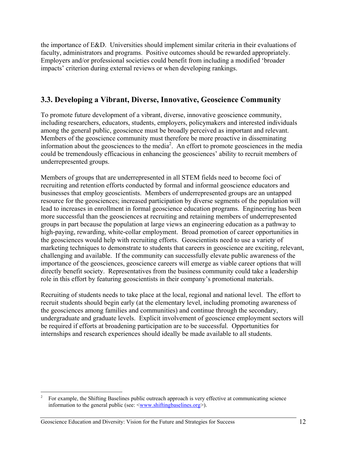the importance of E&D. Universities should implement similar criteria in their evaluations of faculty, administrators and programs. Positive outcomes should be rewarded appropriately. Employers and/or professional societies could benefit from including a modified 'broader impacts' criterion during external reviews or when developing rankings.

#### **3.3. Developing a Vibrant, Diverse, Innovative, Geoscience Community**

To promote future development of a vibrant, diverse, innovative geoscience community, including researchers, educators, students, employers, policymakers and interested individuals among the general public, geoscience must be broadly perceived as important and relevant. Members of the geoscience community must therefore be more proactive in disseminating information about the geosciences to the media<sup>2</sup>. An effort to promote geosciences in the media could be tremendously efficacious in enhancing the geosciences' ability to recruit members of underrepresented groups.

Members of groups that are underrepresented in all STEM fields need to become foci of recruiting and retention efforts conducted by formal and informal geoscience educators and businesses that employ geoscientists. Members of underrepresented groups are an untapped resource for the geosciences; increased participation by diverse segments of the population will lead to increases in enrollment in formal geoscience education programs. Engineering has been more successful than the geosciences at recruiting and retaining members of underrepresented groups in part because the population at large views an engineering education as a pathway to high-paying, rewarding, white-collar employment. Broad promotion of career opportunities in the geosciences would help with recruiting efforts. Geoscientists need to use a variety of marketing techniques to demonstrate to students that careers in geoscience are exciting, relevant, challenging and available. If the community can successfully elevate public awareness of the importance of the geosciences, geoscience careers will emerge as viable career options that will directly benefit society. Representatives from the business community could take a leadership role in this effort by featuring geoscientists in their company's promotional materials.

Recruiting of students needs to take place at the local, regional and national level. The effort to recruit students should begin early (at the elementary level, including promoting awareness of the geosciences among families and communities) and continue through the secondary, undergraduate and graduate levels. Explicit involvement of geoscience employment sectors will be required if efforts at broadening participation are to be successful. Opportunities for internships and research experiences should ideally be made available to all students.

 $\overline{c}$ 2 For example, the Shifting Baselines public outreach approach is very effective at communicating science information to the general public (see:  $\langle$ www.shiftingbaselines.org  $\rangle$ ).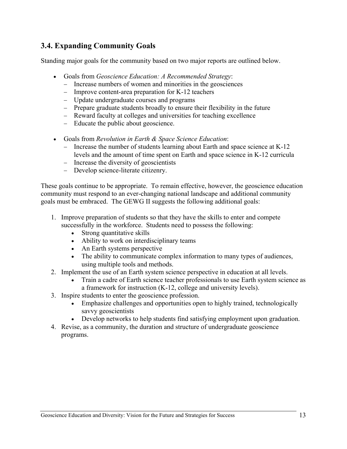## **3.4. Expanding Community Goals**

Standing major goals for the community based on two major reports are outlined below.

- Goals from *Geoscience Education: A Recommended Strategy*:
	- − Increase numbers of women and minorities in the geosciences
	- − Improve content-area preparation for K-12 teachers
	- − Update undergraduate courses and programs
	- − Prepare graduate students broadly to ensure their flexibility in the future
	- − Reward faculty at colleges and universities for teaching excellence
	- − Educate the public about geoscience.
- Goals from *Revolution in Earth & Space Science Education*:
	- − Increase the number of students learning about Earth and space science at K-12 levels and the amount of time spent on Earth and space science in K-12 curricula
	- − Increase the diversity of geoscientists
	- − Develop science-literate citizenry.

These goals continue to be appropriate. To remain effective, however, the geoscience education community must respond to an ever-changing national landscape and additional community goals must be embraced. The GEWG II suggests the following additional goals:

- 1. Improve preparation of students so that they have the skills to enter and compete successfully in the workforce. Students need to possess the following:
	- Strong quantitative skills
	- Ability to work on interdisciplinary teams
	- An Earth systems perspective
	- The ability to communicate complex information to many types of audiences, using multiple tools and methods.
- 2. Implement the use of an Earth system science perspective in education at all levels.
	- Train a cadre of Earth science teacher professionals to use Earth system science as a framework for instruction (K-12, college and university levels).
- 3. Inspire students to enter the geoscience profession.
	- Emphasize challenges and opportunities open to highly trained, technologically savvy geoscientists
	- Develop networks to help students find satisfying employment upon graduation.
- 4. Revise, as a community, the duration and structure of undergraduate geoscience programs.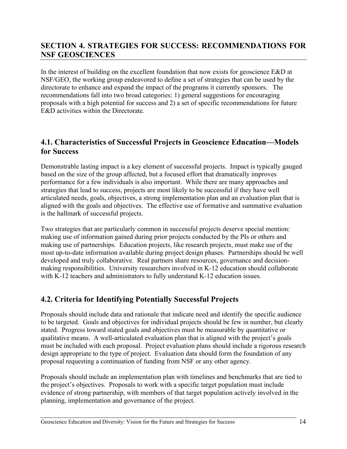## **SECTION 4. STRATEGIES FOR SUCCESS: RECOMMENDATIONS FOR NSF GEOSCIENCES**

In the interest of building on the excellent foundation that now exists for geoscience E&D at NSF/GEO, the working group endeavored to define a set of strategies that can be used by the directorate to enhance and expand the impact of the programs it currently sponsors. The recommendations fall into two broad categories: 1) general suggestions for encouraging proposals with a high potential for success and 2) a set of specific recommendations for future E&D activities within the Directorate.

#### **4.1. Characteristics of Successful Projects in Geoscience Education—Models for Success**

Demonstrable lasting impact is a key element of successful projects. Impact is typically gauged based on the size of the group affected, but a focused effort that dramatically improves performance for a few individuals is also important. While there are many approaches and strategies that lead to success, projects are most likely to be successful if they have well articulated needs, goals, objectives, a strong implementation plan and an evaluation plan that is aligned with the goals and objectives. The effective use of formative and summative evaluation is the hallmark of successful projects.

Two strategies that are particularly common in successful projects deserve special mention: making use of information gained during prior projects conducted by the PIs or others and making use of partnerships. Education projects, like research projects, must make use of the most up-to-date information available during project design phases. Partnerships should be well developed and truly collaborative. Real partners share resources, governance and decisionmaking responsibilities. University researchers involved in K-12 education should collaborate with K-12 teachers and administrators to fully understand K-12 education issues.

### **4.2. Criteria for Identifying Potentially Successful Projects**

Proposals should include data and rationale that indicate need and identify the specific audience to be targeted. Goals and objectives for individual projects should be few in number, but clearly stated. Progress toward stated goals and objectives must be measurable by quantitative or qualitative means. A well-articulated evaluation plan that is aligned with the project's goals must be included with each proposal. Project evaluation plans should include a rigorous research design appropriate to the type of project. Evaluation data should form the foundation of any proposal requesting a continuation of funding from NSF or any other agency.

Proposals should include an implementation plan with timelines and benchmarks that are tied to the project's objectives. Proposals to work with a specific target population must include evidence of strong partnership, with members of that target population actively involved in the planning, implementation and governance of the project.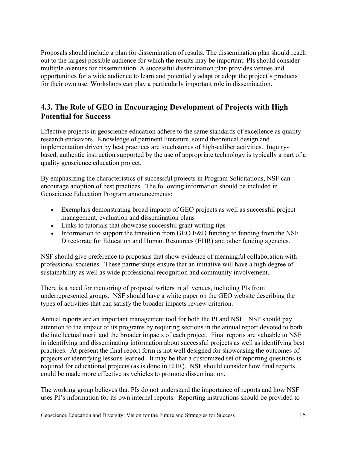Proposals should include a plan for dissemination of results. The dissemination plan should reach out to the largest possible audience for which the results may be important. PIs should consider multiple avenues for dissemination. A successful dissemination plan provides venues and opportunities for a wide audience to learn and potentially adapt or adopt the project's products for their own use. Workshops can play a particularly important role in dissemination.

## **4.3. The Role of GEO in Encouraging Development of Projects with High Potential for Success**

Effective projects in geoscience education adhere to the same standards of excellence as quality research endeavors. Knowledge of pertinent literature, sound theoretical design and implementation driven by best practices are touchstones of high-caliber activities. Inquirybased, authentic instruction supported by the use of appropriate technology is typically a part of a quality geoscience education project.

By emphasizing the characteristics of successful projects in Program Solicitations, NSF can encourage adoption of best practices. The following information should be included in Geoscience Education Program announcements:

- Exemplars demonstrating broad impacts of GEO projects as well as successful project management, evaluation and dissemination plans
- Links to tutorials that showcase successful grant writing tips
- Information to support the transition from GEO E&D funding to funding from the NSF Directorate for Education and Human Resources (EHR) and other funding agencies.

NSF should give preference to proposals that show evidence of meaningful collaboration with professional societies. These partnerships ensure that an initiative will have a high degree of sustainability as well as wide professional recognition and community involvement.

There is a need for mentoring of proposal writers in all venues, including PIs from underrepresented groups. NSF should have a white paper on the GEO website describing the types of activities that can satisfy the broader impacts review criterion.

Annual reports are an important management tool for both the PI and NSF. NSF should pay attention to the impact of its programs by requiring sections in the annual report devoted to both the intellectual merit and the broader impacts of each project. Final reports are valuable to NSF in identifying and disseminating information about successful projects as well as identifying best practices. At present the final report form is not well designed for showcasing the outcomes of projects or identifying lessons learned. It may be that a customized set of reporting questions is required for educational projects (as is done in EHR). NSF should consider how final reports could be made more effective as vehicles to promote dissemination.

The working group believes that PIs do not understand the importance of reports and how NSF uses PI's information for its own internal reports. Reporting instructions should be provided to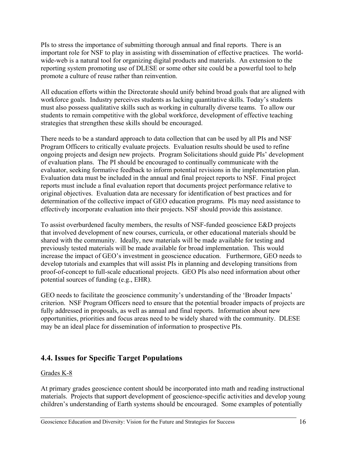PIs to stress the importance of submitting thorough annual and final reports. There is an important role for NSF to play in assisting with dissemination of effective practices. The worldwide-web is a natural tool for organizing digital products and materials. An extension to the reporting system promoting use of DLESE or some other site could be a powerful tool to help promote a culture of reuse rather than reinvention.

All education efforts within the Directorate should unify behind broad goals that are aligned with workforce goals. Industry perceives students as lacking quantitative skills. Today's students must also possess qualitative skills such as working in culturally diverse teams. To allow our students to remain competitive with the global workforce, development of effective teaching strategies that strengthen these skills should be encouraged.

There needs to be a standard approach to data collection that can be used by all PIs and NSF Program Officers to critically evaluate projects. Evaluation results should be used to refine ongoing projects and design new projects. Program Solicitations should guide PIs' development of evaluation plans. The PI should be encouraged to continually communicate with the evaluator, seeking formative feedback to inform potential revisions in the implementation plan. Evaluation data must be included in the annual and final project reports to NSF. Final project reports must include a final evaluation report that documents project performance relative to original objectives. Evaluation data are necessary for identification of best practices and for determination of the collective impact of GEO education programs. PIs may need assistance to effectively incorporate evaluation into their projects. NSF should provide this assistance.

To assist overburdened faculty members, the results of NSF-funded geoscience E&D projects that involved development of new courses, curricula, or other educational materials should be shared with the community. Ideally, new materials will be made available for testing and previously tested materials will be made available for broad implementation. This would increase the impact of GEO's investment in geoscience education. Furthermore, GEO needs to develop tutorials and examples that will assist PIs in planning and developing transitions from proof-of-concept to full-scale educational projects. GEO PIs also need information about other potential sources of funding (e.g., EHR).

GEO needs to facilitate the geoscience community's understanding of the 'Broader Impacts' criterion. NSF Program Officers need to ensure that the potential broader impacts of projects are fully addressed in proposals, as well as annual and final reports. Information about new opportunities, priorities and focus areas need to be widely shared with the community. DLESE may be an ideal place for dissemination of information to prospective PIs.

## **4.4. Issues for Specific Target Populations**

#### Grades K-8

At primary grades geoscience content should be incorporated into math and reading instructional materials. Projects that support development of geoscience-specific activities and develop young children's understanding of Earth systems should be encouraged. Some examples of potentially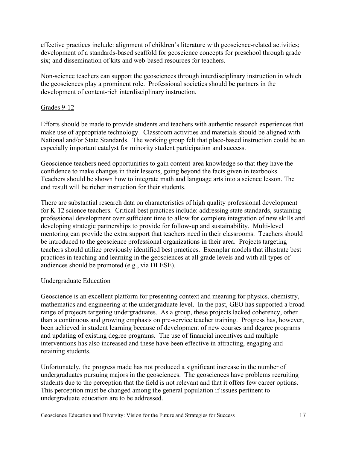effective practices include: alignment of children's literature with geoscience-related activities; development of a standards-based scaffold for geoscience concepts for preschool through grade six; and dissemination of kits and web-based resources for teachers.

Non-science teachers can support the geosciences through interdisciplinary instruction in which the geosciences play a prominent role. Professional societies should be partners in the development of content-rich interdisciplinary instruction.

#### Grades 9-12

Efforts should be made to provide students and teachers with authentic research experiences that make use of appropriate technology. Classroom activities and materials should be aligned with National and/or State Standards. The working group felt that place-based instruction could be an especially important catalyst for minority student participation and success.

Geoscience teachers need opportunities to gain content-area knowledge so that they have the confidence to make changes in their lessons, going beyond the facts given in textbooks. Teachers should be shown how to integrate math and language arts into a science lesson. The end result will be richer instruction for their students.

There are substantial research data on characteristics of high quality professional development for K-12 science teachers. Critical best practices include: addressing state standards, sustaining professional development over sufficient time to allow for complete integration of new skills and developing strategic partnerships to provide for follow-up and sustainability. Multi-level mentoring can provide the extra support that teachers need in their classrooms. Teachers should be introduced to the geoscience professional organizations in their area. Projects targeting teachers should utilize previously identified best practices. Exemplar models that illustrate best practices in teaching and learning in the geosciences at all grade levels and with all types of audiences should be promoted (e.g., via DLESE).

#### Undergraduate Education

Geoscience is an excellent platform for presenting context and meaning for physics, chemistry, mathematics and engineering at the undergraduate level. In the past, GEO has supported a broad range of projects targeting undergraduates. As a group, these projects lacked coherency, other than a continuous and growing emphasis on pre-service teacher training. Progress has, however, been achieved in student learning because of development of new courses and degree programs and updating of existing degree programs. The use of financial incentives and multiple interventions has also increased and these have been effective in attracting, engaging and retaining students.

Unfortunately, the progress made has not produced a significant increase in the number of undergraduates pursuing majors in the geosciences. The geosciences have problems recruiting students due to the perception that the field is not relevant and that it offers few career options. This perception must be changed among the general population if issues pertinent to undergraduate education are to be addressed.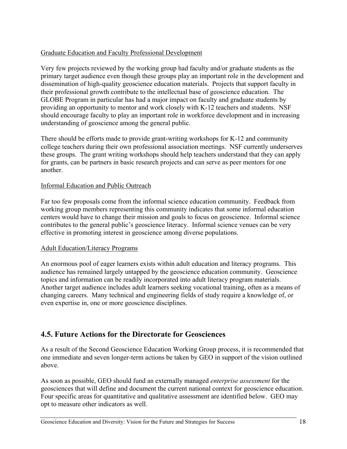#### Graduate Education and Faculty Professional Development

Very few projects reviewed by the working group had faculty and/or graduate students as the primary target audience even though these groups play an important role in the development and dissemination of high-quality geoscience education materials. Projects that support faculty in their professional growth contribute to the intellectual base of geoscience education. The GLOBE Program in particular has had a major impact on faculty and graduate students by providing an opportunity to mentor and work closely with K-12 teachers and students. NSF should encourage faculty to play an important role in workforce development and in increasing understanding of geoscience among the general public.

There should be efforts made to provide grant-writing workshops for K-12 and community college teachers during their own professional association meetings. NSF currently underserves these groups. The grant writing workshops should help teachers understand that they can apply for grants, can be partners in basic research projects and can serve as peer mentors for one another.

#### Informal Education and Public Outreach

Far too few proposals come from the informal science education community. Feedback from working group members representing this community indicates that some informal education centers would have to change their mission and goals to focus on geoscience. Informal science contributes to the general public's geoscience literacy. Informal science venues can be very effective in promoting interest in geoscience among diverse populations.

#### Adult Education/Literacy Programs

An enormous pool of eager learners exists within adult education and literacy programs. This audience has remained largely untapped by the geoscience education community. Geoscience topics and information can be readily incorporated into adult literacy program materials. Another target audience includes adult learners seeking vocational training, often as a means of changing careers. Many technical and engineering fields of study require a knowledge of, or even expertise in, one or more geoscience disciplines.

### **4.5. Future Actions for the Directorate for Geosciences**

As a result of the Second Geoscience Education Working Group process, it is recommended that one immediate and seven longer-term actions be taken by GEO in support of the vision outlined above.

As soon as possible, GEO should fund an externally managed *enterprise assessment* for the geosciences that will define and document the current national context for geoscience education. Four specific areas for quantitative and qualitative assessment are identified below. GEO may opt to measure other indicators as well.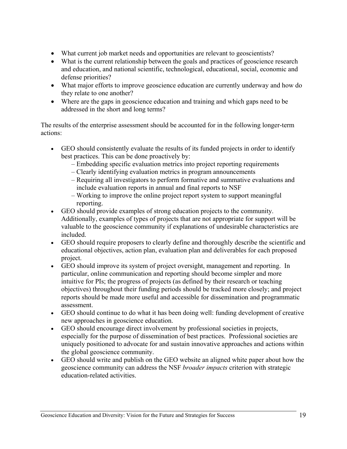- What current job market needs and opportunities are relevant to geoscientists?
- What is the current relationship between the goals and practices of geoscience research and education, and national scientific, technological, educational, social, economic and defense priorities?
- What major efforts to improve geoscience education are currently underway and how do they relate to one another?
- Where are the gaps in geoscience education and training and which gaps need to be addressed in the short and long terms?

The results of the enterprise assessment should be accounted for in the following longer-term actions:

- GEO should consistently evaluate the results of its funded projects in order to identify best practices. This can be done proactively by:
	- Embedding specific evaluation metrics into project reporting requirements
	- Clearly identifying evaluation metrics in program announcements
	- Requiring all investigators to perform formative and summative evaluations and include evaluation reports in annual and final reports to NSF
	- Working to improve the online project report system to support meaningful reporting.
- GEO should provide examples of strong education projects to the community. Additionally, examples of types of projects that are not appropriate for support will be valuable to the geoscience community if explanations of undesirable characteristics are included.
- GEO should require proposers to clearly define and thoroughly describe the scientific and educational objectives, action plan, evaluation plan and deliverables for each proposed project.
- GEO should improve its system of project oversight, management and reporting. In particular, online communication and reporting should become simpler and more intuitive for PIs; the progress of projects (as defined by their research or teaching objectives) throughout their funding periods should be tracked more closely; and project reports should be made more useful and accessible for dissemination and programmatic assessment.
- GEO should continue to do what it has been doing well: funding development of creative new approaches in geoscience education.
- GEO should encourage direct involvement by professional societies in projects, especially for the purpose of dissemination of best practices. Professional societies are uniquely positioned to advocate for and sustain innovative approaches and actions within the global geoscience community.
- GEO should write and publish on the GEO website an aligned white paper about how the geoscience community can address the NSF *broader impacts* criterion with strategic education-related activities.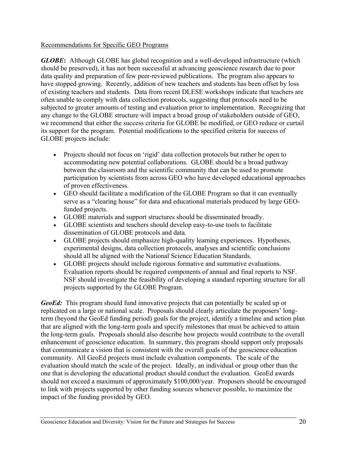#### Recommendations for Specific GEO Programs

*GLOBE***:** Although GLOBE has global recognition and a well-developed infrastructure (which should be preserved), it has not been successful at advancing geoscience research due to poor data quality and preparation of few peer-reviewed publications. The program also appears to have stopped growing. Recently, addition of new teachers and students has been offset by loss of existing teachers and students. Data from recent DLESE workshops indicate that teachers are often unable to comply with data collection protocols, suggesting that protocols need to be subjected to greater amounts of testing and evaluation prior to implementation. Recognizing that any change to the GLOBE structure will impact a broad group of stakeholders outside of GEO, we recommend that either the success criteria for GLOBE be modified, or GEO reduce or curtail its support for the program. Potential modifications to the specified criteria for success of GLOBE projects include:

- Projects should not focus on 'rigid' data collection protocols but rather be open to accommodating new potential collaborations. GLOBE should be a broad pathway between the classroom and the scientific community that can be used to promote participation by scientists from across GEO who have developed educational approaches of proven effectiveness.
- GEO should facilitate a modification of the GLOBE Program so that it can eventually serve as a "clearing house" for data and educational materials produced by large GEOfunded projects.
- GLOBE materials and support structures should be disseminated broadly.
- GLOBE scientists and teachers should develop easy-to-use tools to facilitate dissemination of GLOBE protocols and data.
- GLOBE projects should emphasize high-quality learning experiences. Hypotheses, experimental designs, data collection protocols, analyses and scientific conclusions should all be aligned with the National Science Education Standards.
- GLOBE projects should include rigorous formative and summative evaluations. Evaluation reports should be required components of annual and final reports to NSF. NSF should investigate the feasibility of developing a standard reporting structure for all projects supported by the GLOBE Program.

*GeoEd:* This program should fund innovative projects that can potentially be scaled up or replicated on a large or national scale. Proposals should clearly articulate the proposers' longterm (beyond the GeoEd funding period) goals for the project, identify a timeline and action plan that are aligned with the long-term goals and specify milestones that must be achieved to attain the long-term goals. Proposals should also describe how projects would contribute to the overall enhancement of geoscience education. In summary, this program should support only proposals that communicate a vision that is consistent with the overall goals of the geoscience education community. All GeoEd projects must include evaluation components. The scale of the evaluation should match the scale of the project. Ideally, an individual or group other than the one that is developing the educational product should conduct the evaluation. GeoEd awards should not exceed a maximum of approximately \$100,000/year. Proposers should be encouraged to link with projects supported by other funding sources whenever possible, to maximize the impact of the funding provided by GEO.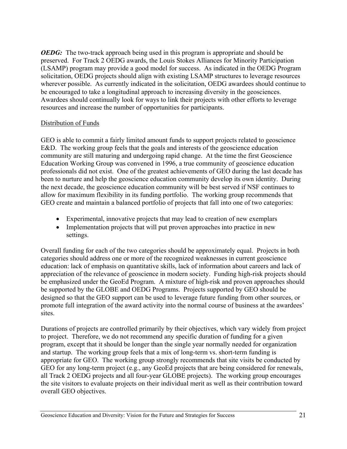*OEDG*: The two-track approach being used in this program is appropriate and should be preserved. For Track 2 OEDG awards, the Louis Stokes Alliances for Minority Participation (LSAMP) program may provide a good model for success. As indicated in the OEDG Program solicitation, OEDG projects should align with existing LSAMP structures to leverage resources wherever possible. As currently indicated in the solicitation, OEDG awardees should continue to be encouraged to take a longitudinal approach to increasing diversity in the geosciences. Awardees should continually look for ways to link their projects with other efforts to leverage resources and increase the number of opportunities for participants.

#### Distribution of Funds

GEO is able to commit a fairly limited amount funds to support projects related to geoscience E&D. The working group feels that the goals and interests of the geoscience education community are still maturing and undergoing rapid change. At the time the first Geoscience Education Working Group was convened in 1996, a true community of geoscience education professionals did not exist. One of the greatest achievements of GEO during the last decade has been to nurture and help the geoscience education community develop its own identity. During the next decade, the geoscience education community will be best served if NSF continues to allow for maximum flexibility in its funding portfolio. The working group recommends that GEO create and maintain a balanced portfolio of projects that fall into one of two categories:

- Experimental, innovative projects that may lead to creation of new exemplars
- Implementation projects that will put proven approaches into practice in new settings.

Overall funding for each of the two categories should be approximately equal. Projects in both categories should address one or more of the recognized weaknesses in current geoscience education: lack of emphasis on quantitative skills, lack of information about careers and lack of appreciation of the relevance of geoscience in modern society. Funding high-risk projects should be emphasized under the GeoEd Program. A mixture of high-risk and proven approaches should be supported by the GLOBE and OEDG Programs. Projects supported by GEO should be designed so that the GEO support can be used to leverage future funding from other sources, or promote full integration of the award activity into the normal course of business at the awardees' sites.

Durations of projects are controlled primarily by their objectives, which vary widely from project to project. Therefore, we do not recommend any specific duration of funding for a given program, except that it should be longer than the single year normally needed for organization and startup. The working group feels that a mix of long-term vs. short-term funding is appropriate for GEO. The working group strongly recommends that site visits be conducted by GEO for any long-term project (e.g., any GeoEd projects that are being considered for renewals, all Track 2 OEDG projects and all four-year GLOBE projects). The working group encourages the site visitors to evaluate projects on their individual merit as well as their contribution toward overall GEO objectives.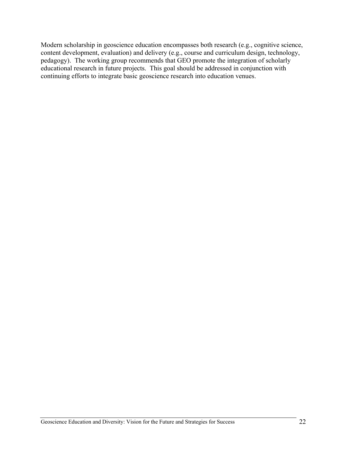Modern scholarship in geoscience education encompasses both research (e.g., cognitive science, content development, evaluation) and delivery (e.g., course and curriculum design, technology, pedagogy). The working group recommends that GEO promote the integration of scholarly educational research in future projects. This goal should be addressed in conjunction with continuing efforts to integrate basic geoscience research into education venues.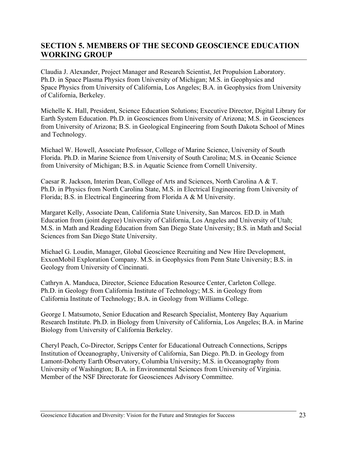## **SECTION 5. MEMBERS OF THE SECOND GEOSCIENCE EDUCATION WORKING GROUP**

Claudia J. Alexander, Project Manager and Research Scientist, Jet Propulsion Laboratory. Ph.D. in Space Plasma Physics from University of Michigan; M.S. in Geophysics and Space Physics from University of California, Los Angeles; B.A. in Geophysics from University of California, Berkeley.

Michelle K. Hall, President, Science Education Solutions; Executive Director, Digital Library for Earth System Education. Ph.D. in Geosciences from University of Arizona; M.S. in Geosciences from University of Arizona; B.S. in Geological Engineering from South Dakota School of Mines and Technology.

Michael W. Howell, Associate Professor, College of Marine Science, University of South Florida. Ph.D. in Marine Science from University of South Carolina; M.S. in Oceanic Science from University of Michigan; B.S. in Aquatic Science from Cornell University.

Caesar R. Jackson, Interim Dean, College of Arts and Sciences, North Carolina A & T. Ph.D. in Physics from North Carolina State, M.S. in Electrical Engineering from University of Florida; B.S. in Electrical Engineering from Florida A & M University.

Margaret Kelly, Associate Dean, California State University, San Marcos. ED.D. in Math Education from (joint degree) University of California, Los Angeles and University of Utah; M.S. in Math and Reading Education from San Diego State University; B.S. in Math and Social Sciences from San Diego State University.

Michael G. Loudin, Manager, Global Geoscience Recruiting and New Hire Development, ExxonMobil Exploration Company. M.S. in Geophysics from Penn State University; B.S. in Geology from University of Cincinnati.

Cathryn A. Manduca, Director, Science Education Resource Center, Carleton College. Ph.D. in Geology from California Institute of Technology; M.S. in Geology from California Institute of Technology; B.A. in Geology from Williams College.

George I. Matsumoto, Senior Education and Research Specialist, Monterey Bay Aquarium Research Institute. Ph.D. in Biology from University of California, Los Angeles; B.A. in Marine Biology from University of California Berkeley.

Cheryl Peach, Co-Director, Scripps Center for Educational Outreach Connections, Scripps Institution of Oceanography, University of California, San Diego. Ph.D. in Geology from Lamont-Doherty Earth Observatory, Columbia University; M.S. in Oceanography from University of Washington; B.A. in Environmental Sciences from University of Virginia. Member of the NSF Directorate for Geosciences Advisory Committee.